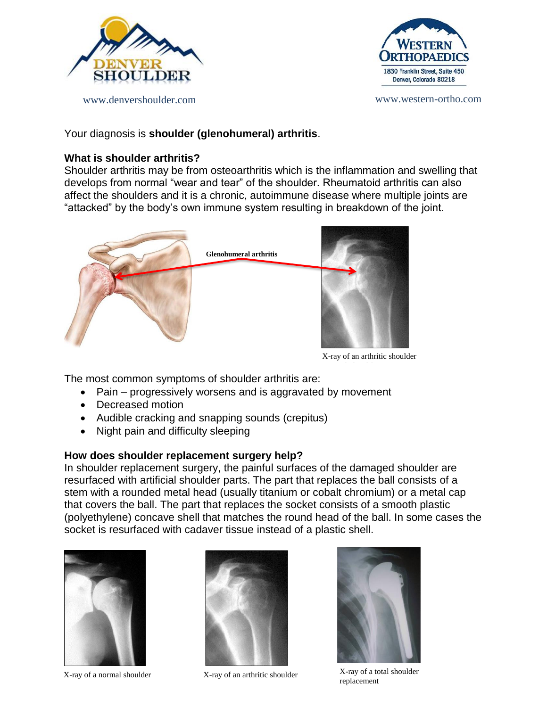



Your diagnosis is **shoulder (glenohumeral) arthritis**.

# **What is shoulder arthritis?**

Shoulder arthritis may be from osteoarthritis which is the inflammation and swelling that develops from normal "wear and tear" of the shoulder. Rheumatoid arthritis can also affect the shoulders and it is a chronic, autoimmune disease where multiple joints are "attacked" by the body's own immune system resulting in breakdown of the joint.



X-ray of an arthritic shoulder

The most common symptoms of shoulder arthritis are:

- Pain progressively worsens and is aggravated by movement
- Decreased motion
- Audible cracking and snapping sounds (crepitus)
- Night pain and difficulty sleeping

# **How does shoulder replacement surgery help?**

In shoulder replacement surgery, the painful surfaces of the damaged shoulder are resurfaced with artificial shoulder parts. The part that replaces the ball consists of a stem with a rounded metal head (usually titanium or cobalt chromium) or a metal cap that covers the ball. The part that replaces the socket consists of a smooth plastic (polyethylene) concave shell that matches the round head of the ball. In some cases the socket is resurfaced with cadaver tissue instead of a plastic shell.





X-ray of a normal shoulder X-ray of an arthritic shoulder



X-ray of a total shoulder replacement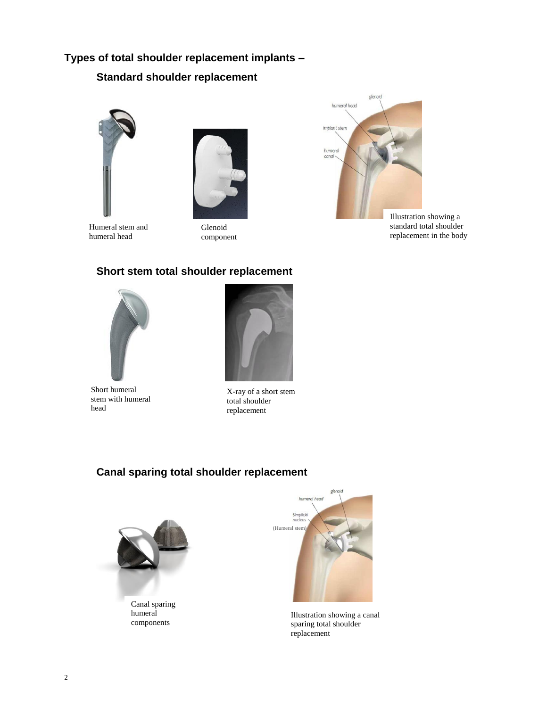# **Types of total shoulder replacement implants –**

# **Standard shoulder replacement**





Humeral stem and humeral head

Glenoid component



Illustration showing a standard total shoulder replacement in the body

### **Short stem total shoulder replacement**



Short humeral stem with humeral head



X-ray of a short stem total shoulder replacement

# **Canal sparing total shoulder replacement**



humeral components



Illustration showing a canal sparing total shoulder replacement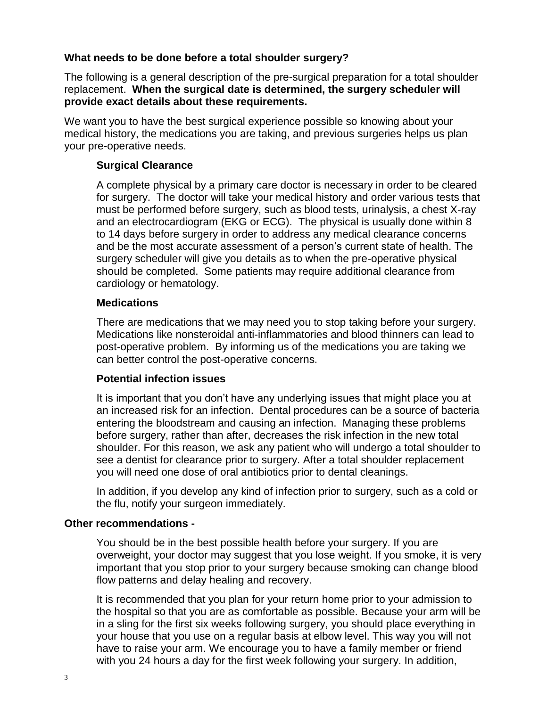### **What needs to be done before a total shoulder surgery?**

The following is a general description of the pre-surgical preparation for a total shoulder replacement. **When the surgical date is determined, the surgery scheduler will provide exact details about these requirements.**

We want you to have the best surgical experience possible so knowing about your medical history, the medications you are taking, and previous surgeries helps us plan your pre-operative needs.

### **Surgical Clearance**

A complete physical by a primary care doctor is necessary in order to be cleared for surgery. The doctor will take your medical history and order various tests that must be performed before surgery, such as blood tests, urinalysis, a chest X-ray and an electrocardiogram (EKG or ECG). The physical is usually done within 8 to 14 days before surgery in order to address any medical clearance concerns and be the most accurate assessment of a person's current state of health. The surgery scheduler will give you details as to when the pre-operative physical should be completed. Some patients may require additional clearance from cardiology or hematology.

### **Medications**

There are medications that we may need you to stop taking before your surgery. Medications like nonsteroidal anti-inflammatories and blood thinners can lead to post-operative problem. By informing us of the medications you are taking we can better control the post-operative concerns.

### **Potential infection issues**

It is important that you don't have any underlying issues that might place you at an increased risk for an infection. Dental procedures can be a source of bacteria entering the bloodstream and causing an infection. Managing these problems before surgery, rather than after, decreases the risk infection in the new total shoulder. For this reason, we ask any patient who will undergo a total shoulder to see a dentist for clearance prior to surgery. After a total shoulder replacement you will need one dose of oral antibiotics prior to dental cleanings.

In addition, if you develop any kind of infection prior to surgery, such as a cold or the flu, notify your surgeon immediately.

### **Other recommendations -**

You should be in the best possible health before your surgery. If you are overweight, your doctor may suggest that you lose weight. If you smoke, it is very important that you stop prior to your surgery because smoking can change blood flow patterns and delay healing and recovery.

It is recommended that you plan for your return home prior to your admission to the hospital so that you are as comfortable as possible. Because your arm will be in a sling for the first six weeks following surgery, you should place everything in your house that you use on a regular basis at elbow level. This way you will not have to raise your arm. We encourage you to have a family member or friend with you 24 hours a day for the first week following your surgery. In addition,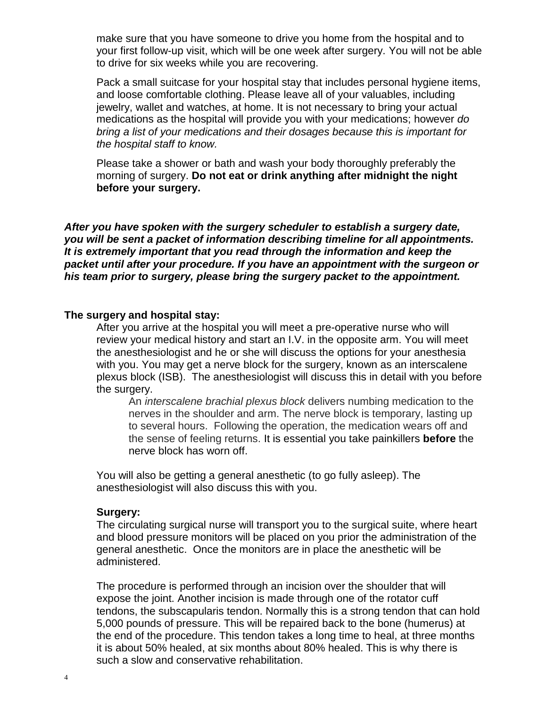make sure that you have someone to drive you home from the hospital and to your first follow-up visit, which will be one week after surgery. You will not be able to drive for six weeks while you are recovering.

Pack a small suitcase for your hospital stay that includes personal hygiene items, and loose comfortable clothing. Please leave all of your valuables, including jewelry, wallet and watches, at home. It is not necessary to bring your actual medications as the hospital will provide you with your medications; however *do bring a list of your medications and their dosages because this is important for the hospital staff to know.*

Please take a shower or bath and wash your body thoroughly preferably the morning of surgery. **Do not eat or drink anything after midnight the night before your surgery.**

*After you have spoken with the surgery scheduler to establish a surgery date, you will be sent a packet of information describing timeline for all appointments. It is extremely important that you read through the information and keep the packet until after your procedure. If you have an appointment with the surgeon or his team prior to surgery, please bring the surgery packet to the appointment.*

#### **The surgery and hospital stay:**

After you arrive at the hospital you will meet a pre-operative nurse who will review your medical history and start an I.V. in the opposite arm. You will meet the anesthesiologist and he or she will discuss the options for your anesthesia with you. You may get a nerve block for the surgery, known as an interscalene plexus block (ISB). The anesthesiologist will discuss this in detail with you before the surgery.

An *interscalene brachial plexus block* delivers numbing medication to the nerves in the shoulder and arm. The nerve block is temporary, lasting up to several hours. Following the operation, the medication wears off and the sense of feeling returns. It is essential you take painkillers **before** the nerve block has worn off.

You will also be getting a general anesthetic (to go fully asleep). The anesthesiologist will also discuss this with you.

#### **Surgery:**

The circulating surgical nurse will transport you to the surgical suite, where heart and blood pressure monitors will be placed on you prior the administration of the general anesthetic. Once the monitors are in place the anesthetic will be administered.

The procedure is performed through an incision over the shoulder that will expose the joint. Another incision is made through one of the rotator cuff tendons, the subscapularis tendon. Normally this is a strong tendon that can hold 5,000 pounds of pressure. This will be repaired back to the bone (humerus) at the end of the procedure. This tendon takes a long time to heal, at three months it is about 50% healed, at six months about 80% healed. This is why there is such a slow and conservative rehabilitation.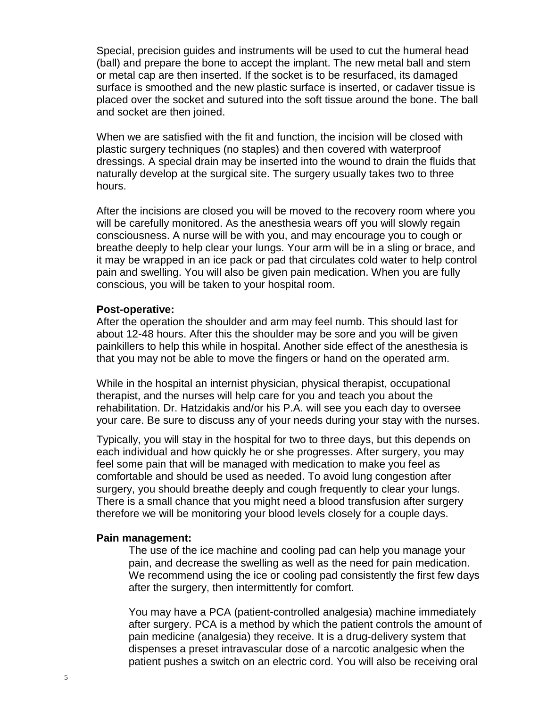Special, precision guides and instruments will be used to cut the humeral head (ball) and prepare the bone to accept the implant. The new metal ball and stem or metal cap are then inserted. If the socket is to be resurfaced, its damaged surface is smoothed and the new plastic surface is inserted, or cadaver tissue is placed over the socket and sutured into the soft tissue around the bone. The ball and socket are then joined.

When we are satisfied with the fit and function, the incision will be closed with plastic surgery techniques (no staples) and then covered with waterproof dressings. A special drain may be inserted into the wound to drain the fluids that naturally develop at the surgical site. The surgery usually takes two to three hours.

After the incisions are closed you will be moved to the recovery room where you will be carefully monitored. As the anesthesia wears off you will slowly regain consciousness. A nurse will be with you, and may encourage you to cough or breathe deeply to help clear your lungs. Your arm will be in a sling or brace, and it may be wrapped in an ice pack or pad that circulates cold water to help control pain and swelling. You will also be given pain medication. When you are fully conscious, you will be taken to your hospital room.

#### **Post-operative:**

After the operation the shoulder and arm may feel numb. This should last for about 12-48 hours. After this the shoulder may be sore and you will be given painkillers to help this while in hospital. Another side effect of the anesthesia is that you may not be able to move the fingers or hand on the operated arm.

While in the hospital an internist physician, physical therapist, occupational therapist, and the nurses will help care for you and teach you about the rehabilitation. Dr. Hatzidakis and/or his P.A. will see you each day to oversee your care. Be sure to discuss any of your needs during your stay with the nurses.

Typically, you will stay in the hospital for two to three days, but this depends on each individual and how quickly he or she progresses. After surgery, you may feel some pain that will be managed with medication to make you feel as comfortable and should be used as needed. To avoid lung congestion after surgery, you should breathe deeply and cough frequently to clear your lungs. There is a small chance that you might need a blood transfusion after surgery therefore we will be monitoring your blood levels closely for a couple days.

#### **Pain management:**

The use of the ice machine and cooling pad can help you manage your pain, and decrease the swelling as well as the need for pain medication. We recommend using the ice or cooling pad consistently the first few days after the surgery, then intermittently for comfort.

You may have a PCA (patient-controlled analgesia) machine immediately after surgery. PCA is a method by which the patient controls the amount of pain medicine [\(analgesia\)](http://www.medterms.com/script/main/art.asp?articlekey=2234) they receive. It is a drug-delivery system that dispenses a preset intravascular dose of a narcotic analgesic when the patient pushes a switch on an electric cord. You will also be receiving oral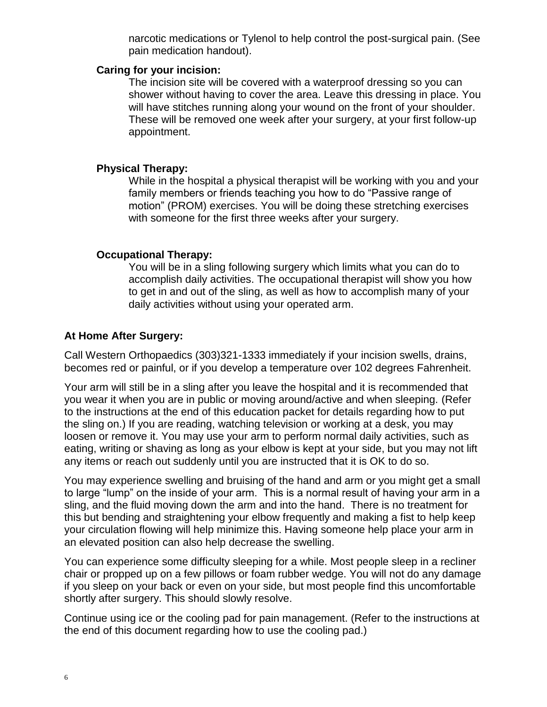narcotic medications or Tylenol to help control the post-surgical pain. (See pain medication handout).

#### **Caring for your incision:**

The incision site will be covered with a waterproof dressing so you can shower without having to cover the area. Leave this dressing in place. You will have stitches running along your wound on the front of your shoulder. These will be removed one week after your surgery, at your first follow-up appointment.

#### **Physical Therapy:**

While in the hospital a physical therapist will be working with you and your family members or friends teaching you how to do "Passive range of motion" (PROM) exercises. You will be doing these stretching exercises with someone for the first three weeks after your surgery.

#### **Occupational Therapy:**

You will be in a sling following surgery which limits what you can do to accomplish daily activities. The occupational therapist will show you how to get in and out of the sling, as well as how to accomplish many of your daily activities without using your operated arm.

### **At Home After Surgery:**

Call Western Orthopaedics (303)321-1333 immediately if your incision swells, drains, becomes red or painful, or if you develop a temperature over 102 degrees Fahrenheit.

Your arm will still be in a sling after you leave the hospital and it is recommended that you wear it when you are in public or moving around/active and when sleeping. (Refer to the instructions at the end of this education packet for details regarding how to put the sling on.) If you are reading, watching television or working at a desk, you may loosen or remove it. You may use your arm to perform normal daily activities, such as eating, writing or shaving as long as your elbow is kept at your side, but you may not lift any items or reach out suddenly until you are instructed that it is OK to do so.

You may experience swelling and bruising of the hand and arm or you might get a small to large "lump" on the inside of your arm. This is a normal result of having your arm in a sling, and the fluid moving down the arm and into the hand. There is no treatment for this but bending and straightening your elbow frequently and making a fist to help keep your circulation flowing will help minimize this. Having someone help place your arm in an elevated position can also help decrease the swelling.

You can experience some difficulty sleeping for a while. Most people sleep in a recliner chair or propped up on a few pillows or foam rubber wedge. You will not do any damage if you sleep on your back or even on your side, but most people find this uncomfortable shortly after surgery. This should slowly resolve.

Continue using ice or the cooling pad for pain management. (Refer to the instructions at the end of this document regarding how to use the cooling pad.)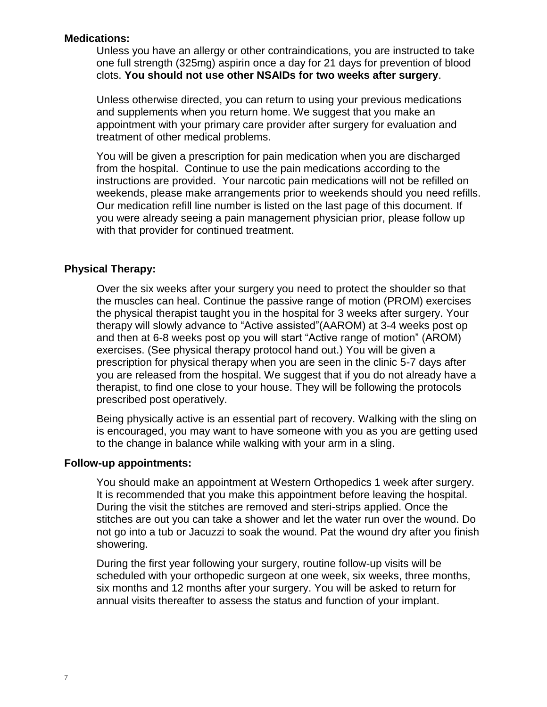#### **Medications:**

Unless you have an allergy or other contraindications, you are instructed to take one full strength (325mg) aspirin once a day for 21 days for prevention of blood clots. **You should not use other NSAIDs for two weeks after surgery**.

Unless otherwise directed, you can return to using your previous medications and supplements when you return home. We suggest that you make an appointment with your primary care provider after surgery for evaluation and treatment of other medical problems.

You will be given a prescription for pain medication when you are discharged from the hospital. Continue to use the pain medications according to the instructions are provided. Your narcotic pain medications will not be refilled on weekends, please make arrangements prior to weekends should you need refills. Our medication refill line number is listed on the last page of this document. If you were already seeing a pain management physician prior, please follow up with that provider for continued treatment.

### **Physical Therapy:**

Over the six weeks after your surgery you need to protect the shoulder so that the muscles can heal. Continue the passive range of motion (PROM) exercises the physical therapist taught you in the hospital for 3 weeks after surgery. Your therapy will slowly advance to "Active assisted"(AAROM) at 3-4 weeks post op and then at 6-8 weeks post op you will start "Active range of motion" (AROM) exercises. (See physical therapy protocol hand out.) You will be given a prescription for physical therapy when you are seen in the clinic 5-7 days after you are released from the hospital. We suggest that if you do not already have a therapist, to find one close to your house. They will be following the protocols prescribed post operatively.

Being physically active is an essential part of recovery. Walking with the sling on is encouraged, you may want to have someone with you as you are getting used to the change in balance while walking with your arm in a sling.

### **Follow-up appointments:**

You should make an appointment at Western Orthopedics 1 week after surgery. It is recommended that you make this appointment before leaving the hospital. During the visit the stitches are removed and steri-strips applied. Once the stitches are out you can take a shower and let the water run over the wound. Do not go into a tub or Jacuzzi to soak the wound. Pat the wound dry after you finish showering.

During the first year following your surgery, routine follow-up visits will be scheduled with your orthopedic surgeon at one week, six weeks, three months, six months and 12 months after your surgery. You will be asked to return for annual visits thereafter to assess the status and function of your implant.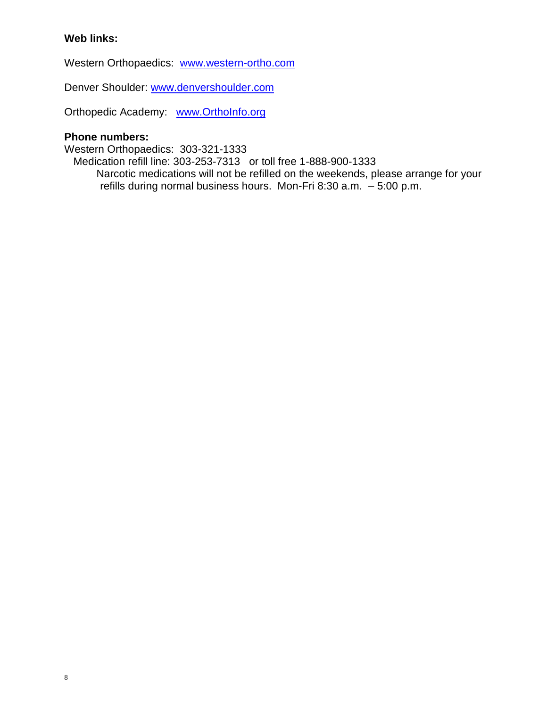# **Web links:**

Western Orthopaedics: [www.western-ortho.com](http://www.western-ortho.com/)

Denver Shoulder: [www.denvershoulder.com](http://www.denvershoulder.com/)

Orthopedic Academy: [www.OrthoInfo.org](http://www.orthoinfo.org/)

### **Phone numbers:**

Western Orthopaedics: 303-321-1333

 Medication refill line: 303-253-7313 or toll free 1-888-900-1333 Narcotic medications will not be refilled on the weekends, please arrange for your refills during normal business hours. Mon-Fri 8:30 a.m. – 5:00 p.m.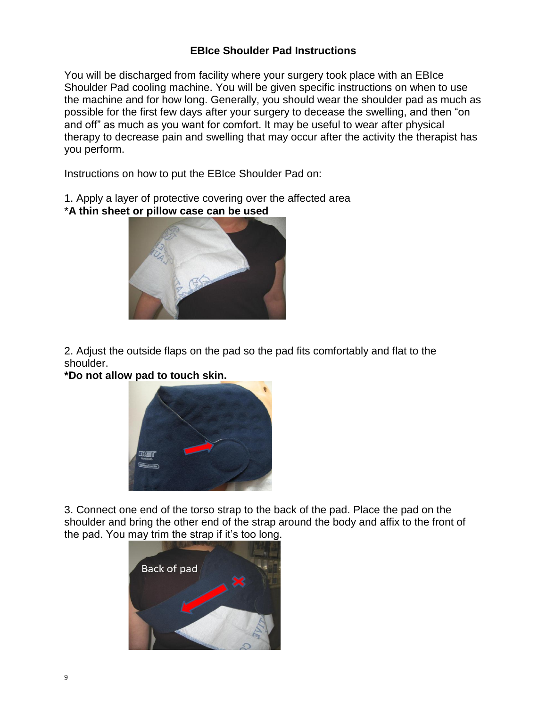## **EBIce Shoulder Pad Instructions**

You will be discharged from facility where your surgery took place with an EBIce Shoulder Pad cooling machine. You will be given specific instructions on when to use the machine and for how long. Generally, you should wear the shoulder pad as much as possible for the first few days after your surgery to decease the swelling, and then "on and off" as much as you want for comfort. It may be useful to wear after physical therapy to decrease pain and swelling that may occur after the activity the therapist has you perform.

Instructions on how to put the EBIce Shoulder Pad on:

- 1. Apply a layer of protective covering over the affected area
- \***A thin sheet or pillow case can be used**



2. Adjust the outside flaps on the pad so the pad fits comfortably and flat to the shoulder.

# **\*Do not allow pad to touch skin.**



3. Connect one end of the torso strap to the back of the pad. Place the pad on the shoulder and bring the other end of the strap around the body and affix to the front of the pad. You may trim the strap if it's too long.

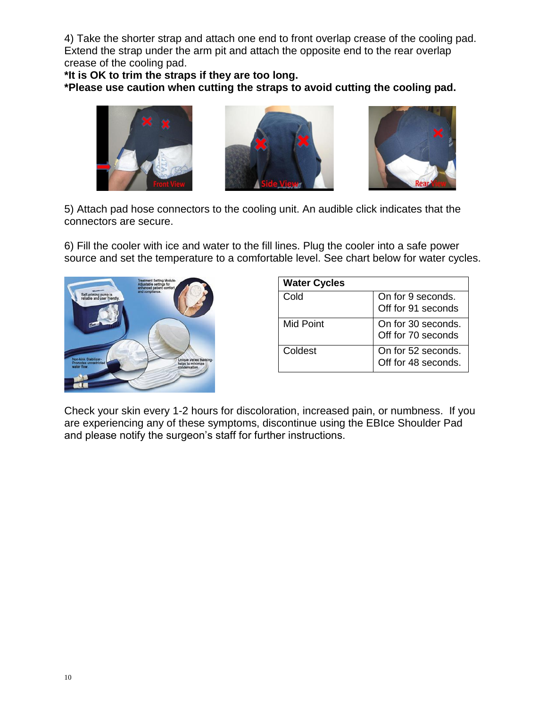4) Take the shorter strap and attach one end to front overlap crease of the cooling pad. Extend the strap under the arm pit and attach the opposite end to the rear overlap crease of the cooling pad.

**\*It is OK to trim the straps if they are too long.** 

**\*Please use caution when cutting the straps to avoid cutting the cooling pad.** 



5) Attach pad hose connectors to the cooling unit. An audible click indicates that the connectors are secure.

6) Fill the cooler with ice and water to the fill lines. Plug the cooler into a safe power source and set the temperature to a comfortable level. See chart below for water cycles.



| <b>Water Cycles</b> |                                           |
|---------------------|-------------------------------------------|
| Cold                | On for 9 seconds.<br>Off for 91 seconds   |
| <b>Mid Point</b>    | On for 30 seconds.<br>Off for 70 seconds  |
| Coldest             | On for 52 seconds.<br>Off for 48 seconds. |

Check your skin every 1-2 hours for discoloration, increased pain, or numbness. If you are experiencing any of these symptoms, discontinue using the EBIce Shoulder Pad and please notify the surgeon's staff for further instructions.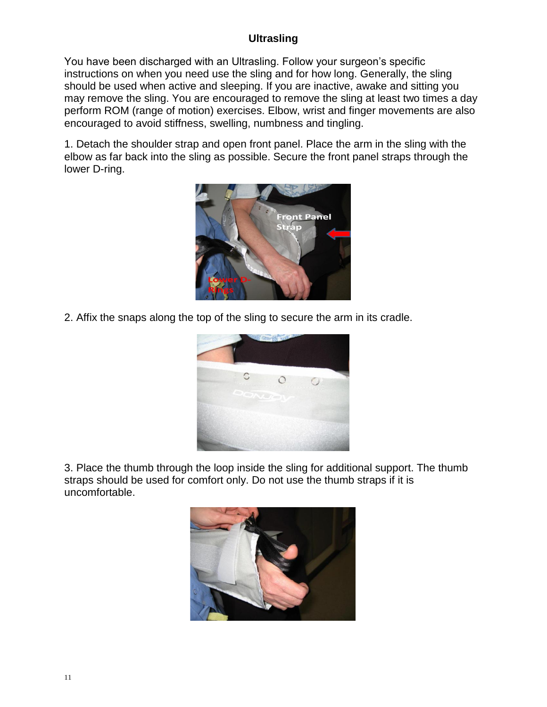# **Ultrasling**

You have been discharged with an Ultrasling. Follow your surgeon's specific instructions on when you need use the sling and for how long. Generally, the sling should be used when active and sleeping. If you are inactive, awake and sitting you may remove the sling. You are encouraged to remove the sling at least two times a day perform ROM (range of motion) exercises. Elbow, wrist and finger movements are also encouraged to avoid stiffness, swelling, numbness and tingling.

1. Detach the shoulder strap and open front panel. Place the arm in the sling with the elbow as far back into the sling as possible. Secure the front panel straps through the lower D-ring.



2. Affix the snaps along the top of the sling to secure the arm in its cradle.



3. Place the thumb through the loop inside the sling for additional support. The thumb straps should be used for comfort only. Do not use the thumb straps if it is uncomfortable.

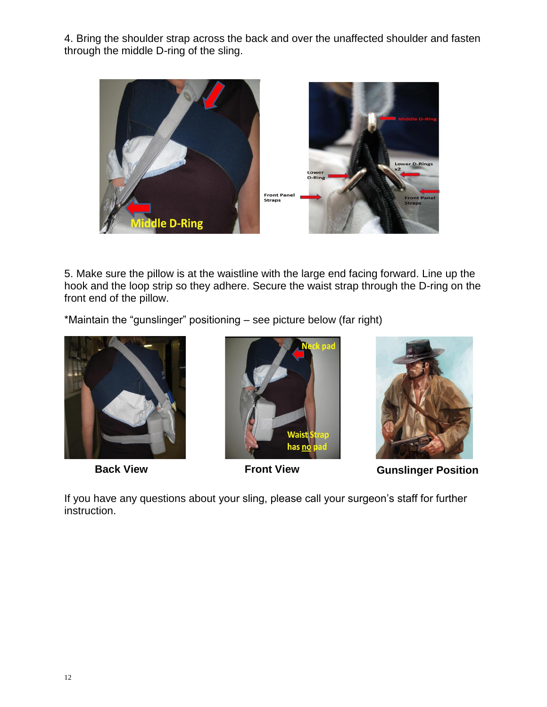4. Bring the shoulder strap across the back and over the unaffected shoulder and fasten through the middle D-ring of the sling.



5. Make sure the pillow is at the waistline with the large end facing forward. Line up the hook and the loop strip so they adhere. Secure the waist strap through the D-ring on the front end of the pillow.

\*Maintain the "gunslinger" positioning – see picture below (far right)







**Back View <b>Front View Gunslinger Position** 

If you have any questions about your sling, please call your surgeon's staff for further instruction.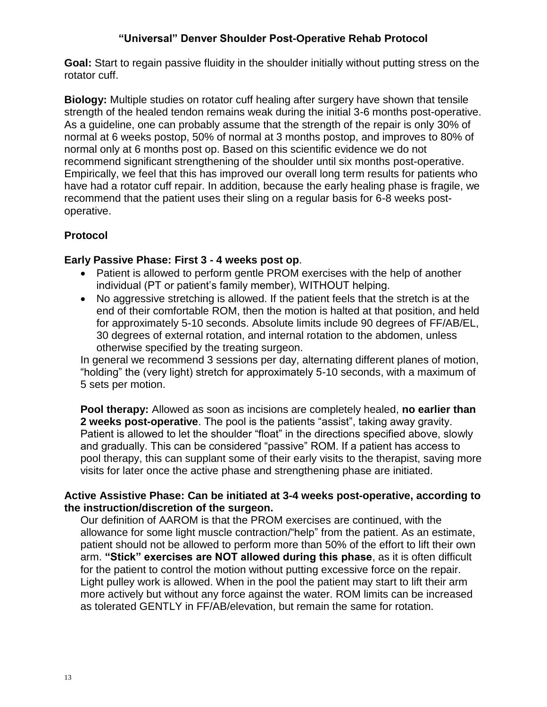# **"Universal" Denver Shoulder Post-Operative Rehab Protocol**

**Goal:** Start to regain passive fluidity in the shoulder initially without putting stress on the rotator cuff.

**Biology:** Multiple studies on rotator cuff healing after surgery have shown that tensile strength of the healed tendon remains weak during the initial 3-6 months post-operative. As a guideline, one can probably assume that the strength of the repair is only 30% of normal at 6 weeks postop, 50% of normal at 3 months postop, and improves to 80% of normal only at 6 months post op. Based on this scientific evidence we do not recommend significant strengthening of the shoulder until six months post-operative. Empirically, we feel that this has improved our overall long term results for patients who have had a rotator cuff repair. In addition, because the early healing phase is fragile, we recommend that the patient uses their sling on a regular basis for 6-8 weeks postoperative.

# **Protocol**

# **Early Passive Phase: First 3 - 4 weeks post op**.

- Patient is allowed to perform gentle PROM exercises with the help of another individual (PT or patient's family member), WITHOUT helping.
- No aggressive stretching is allowed. If the patient feels that the stretch is at the end of their comfortable ROM, then the motion is halted at that position, and held for approximately 5-10 seconds. Absolute limits include 90 degrees of FF/AB/EL, 30 degrees of external rotation, and internal rotation to the abdomen, unless otherwise specified by the treating surgeon.

In general we recommend 3 sessions per day, alternating different planes of motion, "holding" the (very light) stretch for approximately 5-10 seconds, with a maximum of 5 sets per motion.

**Pool therapy:** Allowed as soon as incisions are completely healed, **no earlier than 2 weeks post-operative**. The pool is the patients "assist", taking away gravity. Patient is allowed to let the shoulder "float" in the directions specified above, slowly and gradually. This can be considered "passive" ROM. If a patient has access to pool therapy, this can supplant some of their early visits to the therapist, saving more visits for later once the active phase and strengthening phase are initiated.

### **Active Assistive Phase: Can be initiated at 3-4 weeks post-operative, according to the instruction/discretion of the surgeon.**

Our definition of AAROM is that the PROM exercises are continued, with the allowance for some light muscle contraction/"help" from the patient. As an estimate, patient should not be allowed to perform more than 50% of the effort to lift their own arm. **"Stick" exercises are NOT allowed during this phase**, as it is often difficult for the patient to control the motion without putting excessive force on the repair. Light pulley work is allowed. When in the pool the patient may start to lift their arm more actively but without any force against the water. ROM limits can be increased as tolerated GENTLY in FF/AB/elevation, but remain the same for rotation.